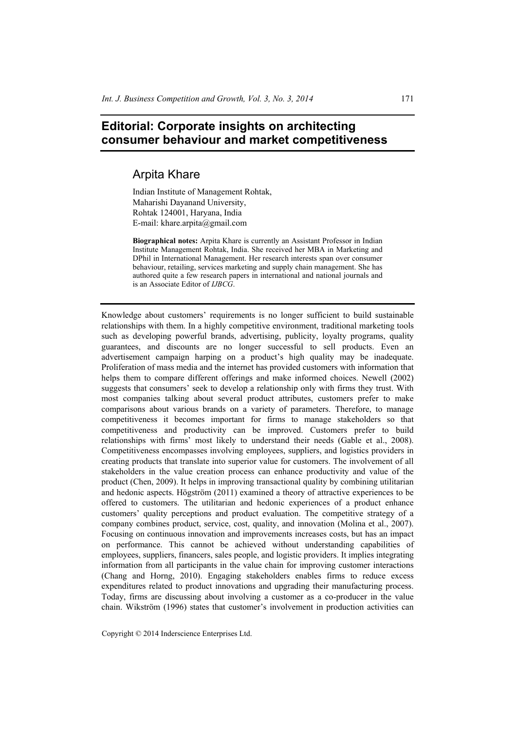## **Editorial: Corporate insights on architecting consumer behaviour and market competitiveness**

## Arpita Khare

Indian Institute of Management Rohtak, Maharishi Dayanand University, Rohtak 124001, Haryana, India E-mail: khare.arpita@gmail.com

**Biographical notes:** Arpita Khare is currently an Assistant Professor in Indian Institute Management Rohtak, India. She received her MBA in Marketing and DPhil in International Management. Her research interests span over consumer behaviour, retailing, services marketing and supply chain management. She has authored quite a few research papers in international and national journals and is an Associate Editor of *IJBCG*.

Knowledge about customers' requirements is no longer sufficient to build sustainable relationships with them. In a highly competitive environment, traditional marketing tools such as developing powerful brands, advertising, publicity, loyalty programs, quality guarantees, and discounts are no longer successful to sell products. Even an advertisement campaign harping on a product's high quality may be inadequate. Proliferation of mass media and the internet has provided customers with information that helps them to compare different offerings and make informed choices. Newell (2002) suggests that consumers' seek to develop a relationship only with firms they trust. With most companies talking about several product attributes, customers prefer to make comparisons about various brands on a variety of parameters. Therefore, to manage competitiveness it becomes important for firms to manage stakeholders so that competitiveness and productivity can be improved. Customers prefer to build relationships with firms' most likely to understand their needs (Gable et al., 2008). Competitiveness encompasses involving employees, suppliers, and logistics providers in creating products that translate into superior value for customers. The involvement of all stakeholders in the value creation process can enhance productivity and value of the product (Chen, 2009). It helps in improving transactional quality by combining utilitarian and hedonic aspects. Högström (2011) examined a theory of attractive experiences to be offered to customers. The utilitarian and hedonic experiences of a product enhance customers' quality perceptions and product evaluation. The competitive strategy of a company combines product, service, cost, quality, and innovation (Molina et al., 2007). Focusing on continuous innovation and improvements increases costs, but has an impact on performance. This cannot be achieved without understanding capabilities of employees, suppliers, financers, sales people, and logistic providers. It implies integrating information from all participants in the value chain for improving customer interactions (Chang and Horng, 2010). Engaging stakeholders enables firms to reduce excess expenditures related to product innovations and upgrading their manufacturing process. Today, firms are discussing about involving a customer as a co-producer in the value chain. Wikström (1996) states that customer's involvement in production activities can

Copyright © 2014 Inderscience Enterprises Ltd.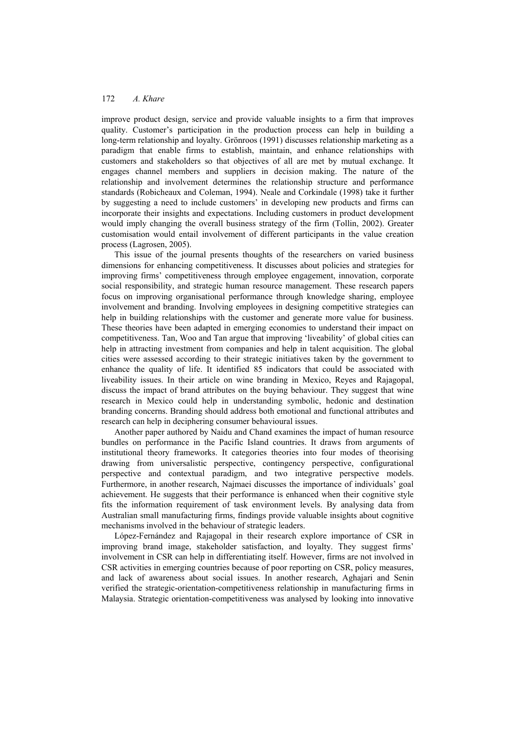## 172 *A. Khare*

improve product design, service and provide valuable insights to a firm that improves quality. Customer's participation in the production process can help in building a long-term relationship and loyalty. Grönroos (1991) discusses relationship marketing as a paradigm that enable firms to establish, maintain, and enhance relationships with customers and stakeholders so that objectives of all are met by mutual exchange. It engages channel members and suppliers in decision making. The nature of the relationship and involvement determines the relationship structure and performance standards (Robicheaux and Coleman, 1994). Neale and Corkindale (1998) take it further by suggesting a need to include customers' in developing new products and firms can incorporate their insights and expectations. Including customers in product development would imply changing the overall business strategy of the firm (Tollin, 2002). Greater customisation would entail involvement of different participants in the value creation process (Lagrosen, 2005).

This issue of the journal presents thoughts of the researchers on varied business dimensions for enhancing competitiveness. It discusses about policies and strategies for improving firms' competitiveness through employee engagement, innovation, corporate social responsibility, and strategic human resource management. These research papers focus on improving organisational performance through knowledge sharing, employee involvement and branding. Involving employees in designing competitive strategies can help in building relationships with the customer and generate more value for business. These theories have been adapted in emerging economies to understand their impact on competitiveness. Tan, Woo and Tan argue that improving 'liveability' of global cities can help in attracting investment from companies and help in talent acquisition. The global cities were assessed according to their strategic initiatives taken by the government to enhance the quality of life. It identified 85 indicators that could be associated with liveability issues. In their article on wine branding in Mexico, Reyes and Rajagopal, discuss the impact of brand attributes on the buying behaviour. They suggest that wine research in Mexico could help in understanding symbolic, hedonic and destination branding concerns. Branding should address both emotional and functional attributes and research can help in deciphering consumer behavioural issues.

Another paper authored by Naidu and Chand examines the impact of human resource bundles on performance in the Pacific Island countries. It draws from arguments of institutional theory frameworks. It categories theories into four modes of theorising drawing from universalistic perspective, contingency perspective, configurational perspective and contextual paradigm, and two integrative perspective models. Furthermore, in another research, Najmaei discusses the importance of individuals' goal achievement. He suggests that their performance is enhanced when their cognitive style fits the information requirement of task environment levels. By analysing data from Australian small manufacturing firms, findings provide valuable insights about cognitive mechanisms involved in the behaviour of strategic leaders.

López-Fernández and Rajagopal in their research explore importance of CSR in improving brand image, stakeholder satisfaction, and loyalty. They suggest firms' involvement in CSR can help in differentiating itself. However, firms are not involved in CSR activities in emerging countries because of poor reporting on CSR, policy measures, and lack of awareness about social issues. In another research, Aghajari and Senin verified the strategic-orientation-competitiveness relationship in manufacturing firms in Malaysia. Strategic orientation-competitiveness was analysed by looking into innovative